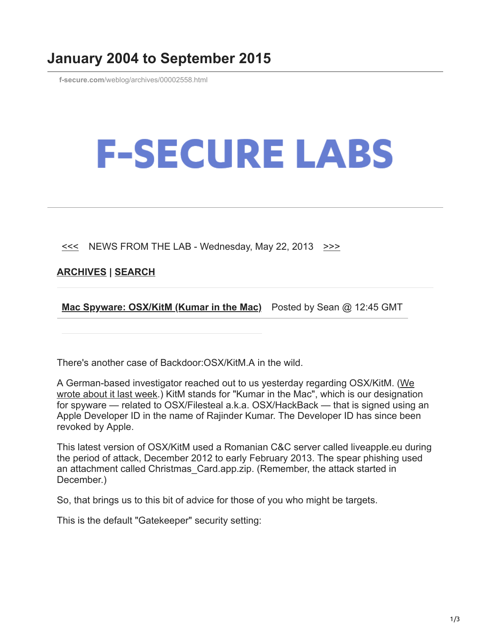## **January 2004 to September 2015**

**f-secure.com**[/weblog/archives/00002558.html](https://www.f-secure.com/weblog/archives/00002558.html)

## **F-SECURE LABS**

 $\leq$  NEWS FROM THE LAB - Wednesday, May 22, 2013  $\geq$ 

**[ARCHIVES](https://www.f-secure.com/weblog/archives/) | [SEARCH](https://www.bing.com/search?q=site:f-secure.com/weblog)**

**[Mac Spyware: OSX/KitM \(Kumar in the Mac\)](https://www.f-secure.com/weblog/archives/00002558.html)** Posted by Sean @ 12:45 GMT

There's another case of Backdoor:OSX/KitM.A in the wild.

[A German-based investigator reached out to us yesterday regarding OSX/KitM. \(We](https://www.f-secure.com/weblog/archives/00002554.html) wrote about it last week.) KitM stands for "Kumar in the Mac", which is our designation for spyware — related to OSX/Filesteal a.k.a. OSX/HackBack — that is signed using an Apple Developer ID in the name of Rajinder Kumar. The Developer ID has since been revoked by Apple.

This latest version of OSX/KitM used a Romanian C&C server called liveapple.eu during the period of attack, December 2012 to early February 2013. The spear phishing used an attachment called Christmas\_Card.app.zip. (Remember, the attack started in December.)

So, that brings us to this bit of advice for those of you who might be targets.

This is the default "Gatekeeper" security setting: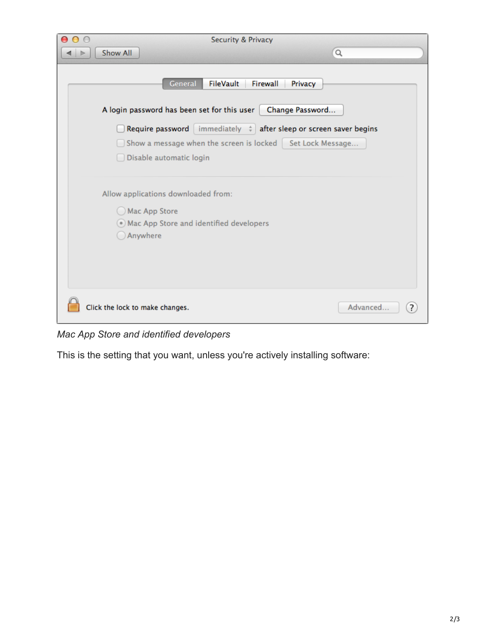| $\circ$<br><b>Security &amp; Privacy</b> |                                                                                                                                                                                                                                         |                                        |                            |
|------------------------------------------|-----------------------------------------------------------------------------------------------------------------------------------------------------------------------------------------------------------------------------------------|----------------------------------------|----------------------------|
| Show All                                 |                                                                                                                                                                                                                                         | $\alpha$                               |                            |
|                                          | General<br>FileVault<br>A login password has been set for this user<br>Require password immediately $\phi$ after sleep or screen saver begins<br>Show a message when the screen is locked   Set Lock Message<br>Disable automatic login | Firewall<br>Privacy<br>Change Password |                            |
| Mac App Store<br>Anywhere                | Allow applications downloaded from:<br>• Mac App Store and identified developers                                                                                                                                                        |                                        |                            |
| Click the lock to make changes.          |                                                                                                                                                                                                                                         |                                        | Advanced<br>$\overline{?}$ |

*Mac App Store and identified developers*

This is the setting that you want, unless you're actively installing software: